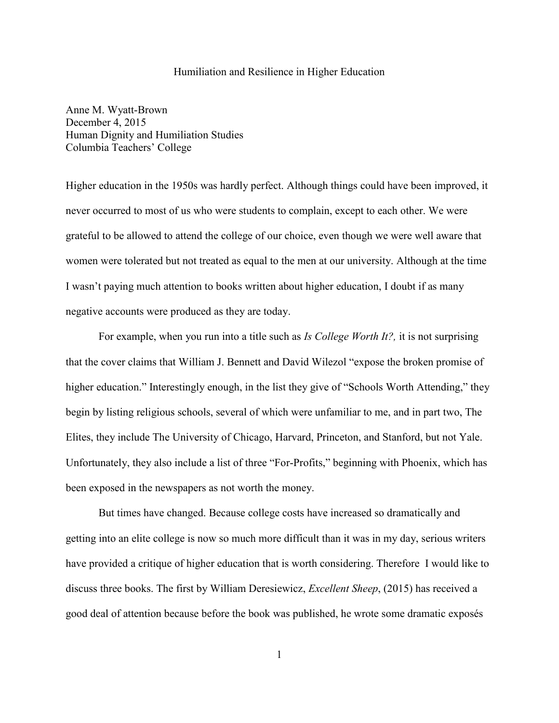## Humiliation and Resilience in Higher Education

Anne M. Wyatt-Brown December 4, 2015 Human Dignity and Humiliation Studies Columbia Teachers' College

Higher education in the 1950s was hardly perfect. Although things could have been improved, it never occurred to most of us who were students to complain, except to each other. We were grateful to be allowed to attend the college of our choice, even though we were well aware that women were tolerated but not treated as equal to the men at our university. Although at the time I wasn't paying much attention to books written about higher education, I doubt if as many negative accounts were produced as they are today.

For example, when you run into a title such as *Is College Worth It?,* it is not surprising that the cover claims that William J. Bennett and David Wilezol "expose the broken promise of higher education." Interestingly enough, in the list they give of "Schools Worth Attending," they begin by listing religious schools, several of which were unfamiliar to me, and in part two, The Elites, they include The University of Chicago, Harvard, Princeton, and Stanford, but not Yale. Unfortunately, they also include a list of three "For-Profits," beginning with Phoenix, which has been exposed in the newspapers as not worth the money.

But times have changed. Because college costs have increased so dramatically and getting into an elite college is now so much more difficult than it was in my day, serious writers have provided a critique of higher education that is worth considering. Therefore I would like to discuss three books. The first by William Deresiewicz, *Excellent Sheep*, (2015) has received a good deal of attention because before the book was published, he wrote some dramatic exposés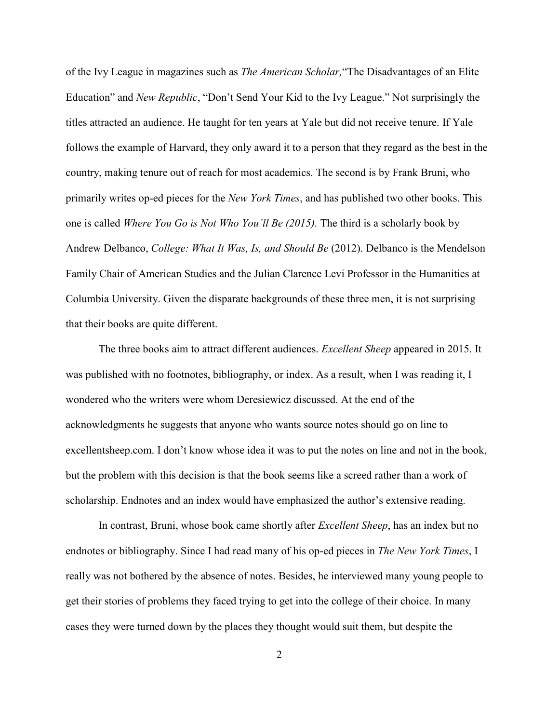of the Ivy League in magazines such as *The American Scholar,*"The Disadvantages of an Elite Education" and *New Republic*, "Don't Send Your Kid to the Ivy League." Not surprisingly the titles attracted an audience. He taught for ten years at Yale but did not receive tenure. If Yale follows the example of Harvard, they only award it to a person that they regard as the best in the country, making tenure out of reach for most academics. The second is by Frank Bruni, who primarily writes op-ed pieces for the *New York Times*, and has published two other books. This one is called *Where You Go is Not Who You'll Be (2015).* The third is a scholarly book by Andrew Delbanco, *College: What It Was, Is, and Should Be* (2012). Delbanco is the Mendelson Family Chair of American Studies and the Julian Clarence Levi Professor in the Humanities at Columbia University. Given the disparate backgrounds of these three men, it is not surprising that their books are quite different.

The three books aim to attract different audiences. *Excellent Sheep* appeared in 2015. It was published with no footnotes, bibliography, or index. As a result, when I was reading it, I wondered who the writers were whom Deresiewicz discussed. At the end of the acknowledgments he suggests that anyone who wants source notes should go on line to excellentsheep.com. I don't know whose idea it was to put the notes on line and not in the book, but the problem with this decision is that the book seems like a screed rather than a work of scholarship. Endnotes and an index would have emphasized the author's extensive reading.

In contrast, Bruni, whose book came shortly after *Excellent Sheep*, has an index but no endnotes or bibliography. Since I had read many of his op-ed pieces in *The New York Times*, I really was not bothered by the absence of notes. Besides, he interviewed many young people to get their stories of problems they faced trying to get into the college of their choice. In many cases they were turned down by the places they thought would suit them, but despite the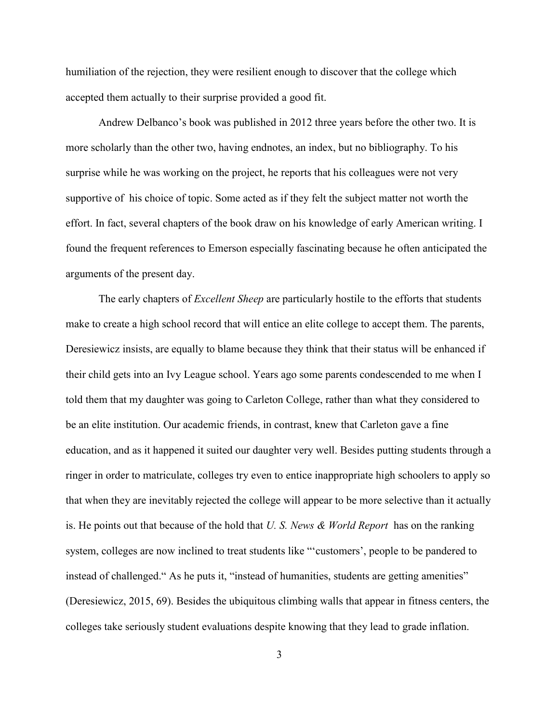humiliation of the rejection, they were resilient enough to discover that the college which accepted them actually to their surprise provided a good fit.

Andrew Delbanco's book was published in 2012 three years before the other two. It is more scholarly than the other two, having endnotes, an index, but no bibliography. To his surprise while he was working on the project, he reports that his colleagues were not very supportive of his choice of topic. Some acted as if they felt the subject matter not worth the effort. In fact, several chapters of the book draw on his knowledge of early American writing. I found the frequent references to Emerson especially fascinating because he often anticipated the arguments of the present day.

The early chapters of *Excellent Sheep* are particularly hostile to the efforts that students make to create a high school record that will entice an elite college to accept them. The parents, Deresiewicz insists, are equally to blame because they think that their status will be enhanced if their child gets into an Ivy League school. Years ago some parents condescended to me when I told them that my daughter was going to Carleton College, rather than what they considered to be an elite institution. Our academic friends, in contrast, knew that Carleton gave a fine education, and as it happened it suited our daughter very well. Besides putting students through a ringer in order to matriculate, colleges try even to entice inappropriate high schoolers to apply so that when they are inevitably rejected the college will appear to be more selective than it actually is. He points out that because of the hold that *U. S. News & World Report* has on the ranking system, colleges are now inclined to treat students like "'customers', people to be pandered to instead of challenged." As he puts it, "instead of humanities, students are getting amenities" (Deresiewicz, 2015, 69). Besides the ubiquitous climbing walls that appear in fitness centers, the colleges take seriously student evaluations despite knowing that they lead to grade inflation.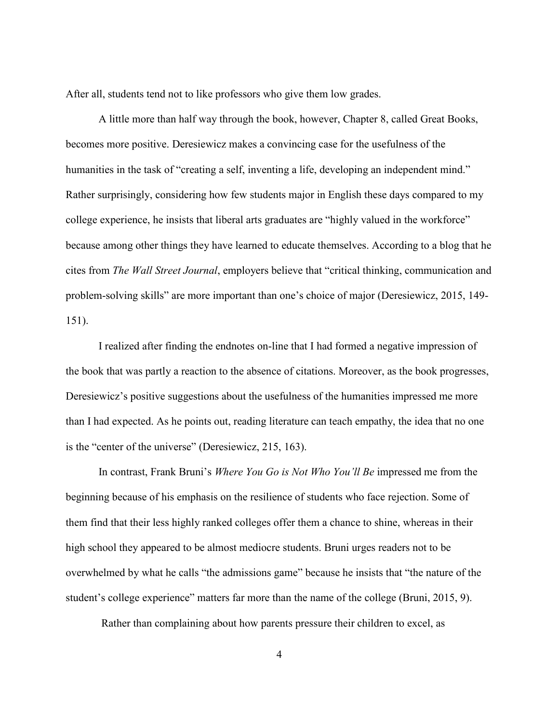After all, students tend not to like professors who give them low grades.

A little more than half way through the book, however, Chapter 8, called Great Books, becomes more positive. Deresiewicz makes a convincing case for the usefulness of the humanities in the task of "creating a self, inventing a life, developing an independent mind." Rather surprisingly, considering how few students major in English these days compared to my college experience, he insists that liberal arts graduates are "highly valued in the workforce" because among other things they have learned to educate themselves. According to a blog that he cites from *The Wall Street Journal*, employers believe that "critical thinking, communication and problem-solving skills" are more important than one's choice of major (Deresiewicz, 2015, 149- 151).

I realized after finding the endnotes on-line that I had formed a negative impression of the book that was partly a reaction to the absence of citations. Moreover, as the book progresses, Deresiewicz's positive suggestions about the usefulness of the humanities impressed me more than I had expected. As he points out, reading literature can teach empathy, the idea that no one is the "center of the universe" (Deresiewicz, 215, 163).

In contrast, Frank Bruni's *Where You Go is Not Who You'll Be* impressed me from the beginning because of his emphasis on the resilience of students who face rejection. Some of them find that their less highly ranked colleges offer them a chance to shine, whereas in their high school they appeared to be almost mediocre students. Bruni urges readers not to be overwhelmed by what he calls "the admissions game" because he insists that "the nature of the student's college experience" matters far more than the name of the college (Bruni, 2015, 9).

Rather than complaining about how parents pressure their children to excel, as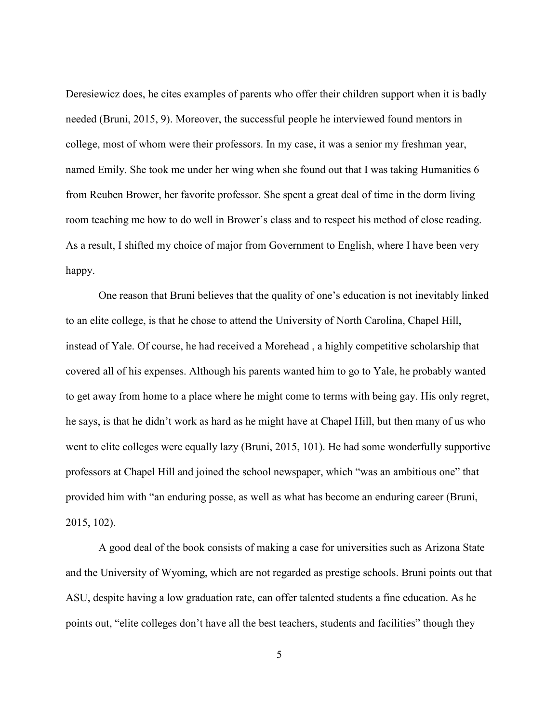Deresiewicz does, he cites examples of parents who offer their children support when it is badly needed (Bruni, 2015, 9). Moreover, the successful people he interviewed found mentors in college, most of whom were their professors. In my case, it was a senior my freshman year, named Emily. She took me under her wing when she found out that I was taking Humanities 6 from Reuben Brower, her favorite professor. She spent a great deal of time in the dorm living room teaching me how to do well in Brower's class and to respect his method of close reading. As a result, I shifted my choice of major from Government to English, where I have been very happy.

One reason that Bruni believes that the quality of one's education is not inevitably linked to an elite college, is that he chose to attend the University of North Carolina, Chapel Hill, instead of Yale. Of course, he had received a Morehead , a highly competitive scholarship that covered all of his expenses. Although his parents wanted him to go to Yale, he probably wanted to get away from home to a place where he might come to terms with being gay. His only regret, he says, is that he didn't work as hard as he might have at Chapel Hill, but then many of us who went to elite colleges were equally lazy (Bruni, 2015, 101). He had some wonderfully supportive professors at Chapel Hill and joined the school newspaper, which "was an ambitious one" that provided him with "an enduring posse, as well as what has become an enduring career (Bruni, 2015, 102).

A good deal of the book consists of making a case for universities such as Arizona State and the University of Wyoming, which are not regarded as prestige schools. Bruni points out that ASU, despite having a low graduation rate, can offer talented students a fine education. As he points out, "elite colleges don't have all the best teachers, students and facilities" though they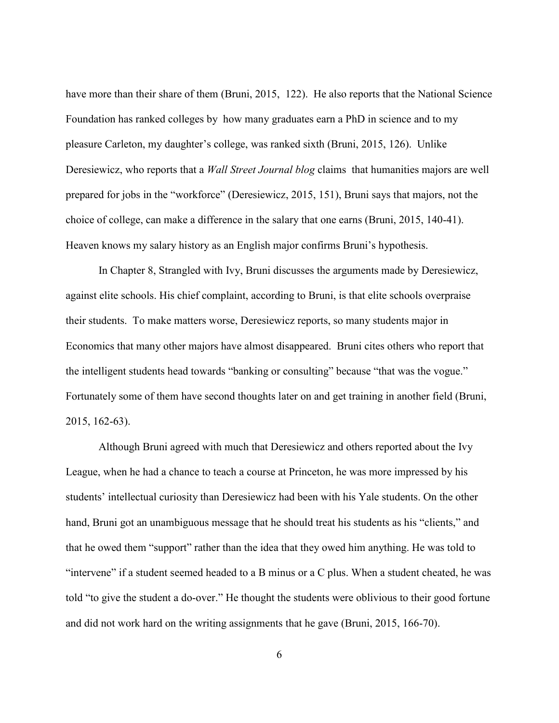have more than their share of them (Bruni, 2015, 122). He also reports that the National Science Foundation has ranked colleges by how many graduates earn a PhD in science and to my pleasure Carleton, my daughter's college, was ranked sixth (Bruni, 2015, 126). Unlike Deresiewicz, who reports that a *Wall Street Journal blog* claims that humanities majors are well prepared for jobs in the "workforce" (Deresiewicz, 2015, 151), Bruni says that majors, not the choice of college, can make a difference in the salary that one earns (Bruni, 2015, 140-41). Heaven knows my salary history as an English major confirms Bruni's hypothesis.

In Chapter 8, Strangled with Ivy, Bruni discusses the arguments made by Deresiewicz, against elite schools. His chief complaint, according to Bruni, is that elite schools overpraise their students. To make matters worse, Deresiewicz reports, so many students major in Economics that many other majors have almost disappeared. Bruni cites others who report that the intelligent students head towards "banking or consulting" because "that was the vogue." Fortunately some of them have second thoughts later on and get training in another field (Bruni, 2015, 162-63).

Although Bruni agreed with much that Deresiewicz and others reported about the Ivy League, when he had a chance to teach a course at Princeton, he was more impressed by his students' intellectual curiosity than Deresiewicz had been with his Yale students. On the other hand, Bruni got an unambiguous message that he should treat his students as his "clients," and that he owed them "support" rather than the idea that they owed him anything. He was told to "intervene" if a student seemed headed to a B minus or a C plus. When a student cheated, he was told "to give the student a do-over." He thought the students were oblivious to their good fortune and did not work hard on the writing assignments that he gave (Bruni, 2015, 166-70).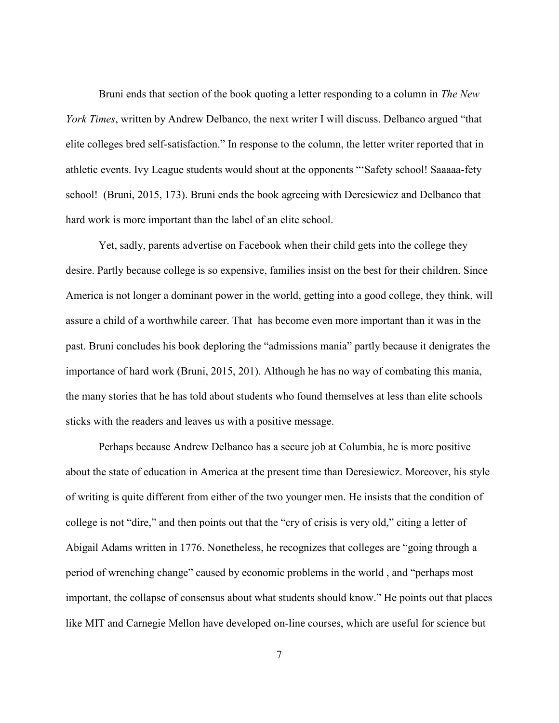Bruni ends that section of the book quoting a letter responding to a column in *The New York Times*, written by Andrew Delbanco, the next writer I will discuss. Delbanco argued "that elite colleges bred self-satisfaction." In response to the column, the letter writer reported that in athletic events. Ivy League students would shout at the opponents "'Safety school! Saaaaa-fety school! (Bruni, 2015, 173). Bruni ends the book agreeing with Deresiewicz and Delbanco that hard work is more important than the label of an elite school.

Yet, sadly, parents advertise on Facebook when their child gets into the college they desire. Partly because college is so expensive, families insist on the best for their children. Since America is not longer a dominant power in the world, getting into a good college, they think, will assure a child of a worthwhile career. That has become even more important than it was in the past. Bruni concludes his book deploring the "admissions mania" partly because it denigrates the importance of hard work (Bruni, 2015, 201). Although he has no way of combating this mania, the many stories that he has told about students who found themselves at less than elite schools sticks with the readers and leaves us with a positive message.

Perhaps because Andrew Delbanco has a secure job at Columbia, he is more positive about the state of education in America at the present time than Deresiewicz. Moreover, his style of writing is quite different from either of the two younger men. He insists that the condition of college is not "dire," and then points out that the "cry of crisis is very old," citing a letter of Abigail Adams written in 1776. Nonetheless, he recognizes that colleges are "going through a period of wrenching change" caused by economic problems in the world , and "perhaps most important, the collapse of consensus about what students should know." He points out that places like MIT and Carnegie Mellon have developed on-line courses, which are useful for science but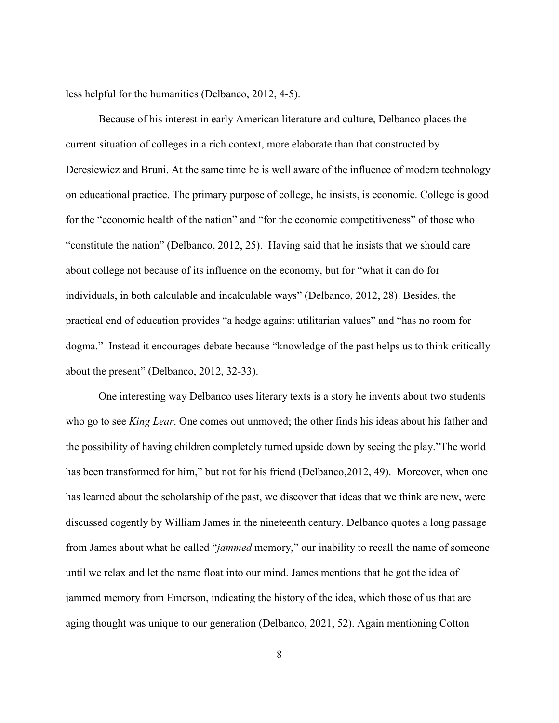less helpful for the humanities (Delbanco, 2012, 4-5).

Because of his interest in early American literature and culture, Delbanco places the current situation of colleges in a rich context, more elaborate than that constructed by Deresiewicz and Bruni. At the same time he is well aware of the influence of modern technology on educational practice. The primary purpose of college, he insists, is economic. College is good for the "economic health of the nation" and "for the economic competitiveness" of those who "constitute the nation" (Delbanco, 2012, 25). Having said that he insists that we should care about college not because of its influence on the economy, but for "what it can do for individuals, in both calculable and incalculable ways" (Delbanco, 2012, 28). Besides, the practical end of education provides "a hedge against utilitarian values" and "has no room for dogma." Instead it encourages debate because "knowledge of the past helps us to think critically about the present" (Delbanco, 2012, 32-33).

One interesting way Delbanco uses literary texts is a story he invents about two students who go to see *King Lear*. One comes out unmoved; the other finds his ideas about his father and the possibility of having children completely turned upside down by seeing the play."The world has been transformed for him," but not for his friend (Delbanco, 2012, 49). Moreover, when one has learned about the scholarship of the past, we discover that ideas that we think are new, were discussed cogently by William James in the nineteenth century. Delbanco quotes a long passage from James about what he called "*jammed* memory," our inability to recall the name of someone until we relax and let the name float into our mind. James mentions that he got the idea of jammed memory from Emerson, indicating the history of the idea, which those of us that are aging thought was unique to our generation (Delbanco, 2021, 52). Again mentioning Cotton

8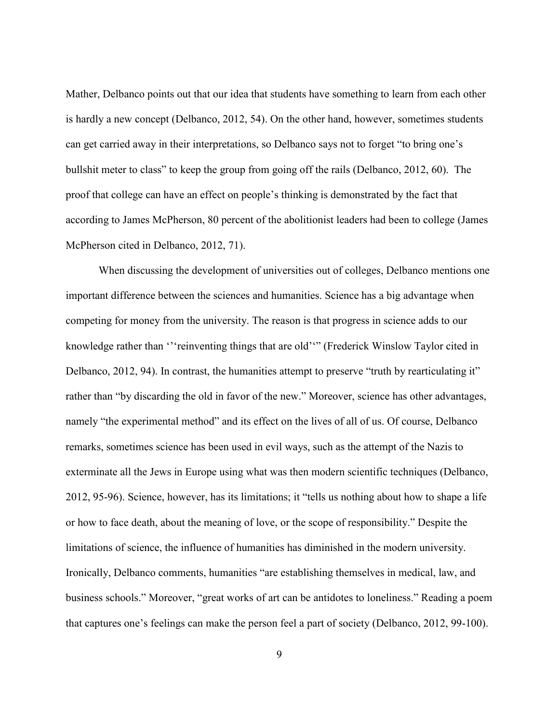Mather, Delbanco points out that our idea that students have something to learn from each other is hardly a new concept (Delbanco, 2012, 54). On the other hand, however, sometimes students can get carried away in their interpretations, so Delbanco says not to forget "to bring one's bullshit meter to class" to keep the group from going off the rails (Delbanco, 2012, 60). The proof that college can have an effect on people's thinking is demonstrated by the fact that according to James McPherson, 80 percent of the abolitionist leaders had been to college (James McPherson cited in Delbanco, 2012, 71).

When discussing the development of universities out of colleges, Delbanco mentions one important difference between the sciences and humanities. Science has a big advantage when competing for money from the university. The reason is that progress in science adds to our knowledge rather than "'reinventing things that are old'" (Frederick Winslow Taylor cited in Delbanco, 2012, 94). In contrast, the humanities attempt to preserve "truth by rearticulating it" rather than "by discarding the old in favor of the new." Moreover, science has other advantages, namely "the experimental method" and its effect on the lives of all of us. Of course, Delbanco remarks, sometimes science has been used in evil ways, such as the attempt of the Nazis to exterminate all the Jews in Europe using what was then modern scientific techniques (Delbanco, 2012, 95-96). Science, however, has its limitations; it "tells us nothing about how to shape a life or how to face death, about the meaning of love, or the scope of responsibility." Despite the limitations of science, the influence of humanities has diminished in the modern university. Ironically, Delbanco comments, humanities "are establishing themselves in medical, law, and business schools." Moreover, "great works of art can be antidotes to loneliness." Reading a poem that captures one's feelings can make the person feel a part of society (Delbanco, 2012, 99-100).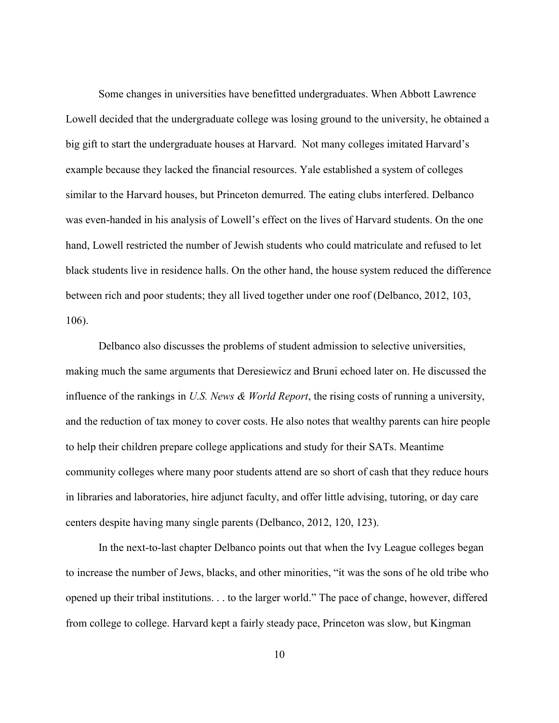Some changes in universities have benefitted undergraduates. When Abbott Lawrence Lowell decided that the undergraduate college was losing ground to the university, he obtained a big gift to start the undergraduate houses at Harvard. Not many colleges imitated Harvard's example because they lacked the financial resources. Yale established a system of colleges similar to the Harvard houses, but Princeton demurred. The eating clubs interfered. Delbanco was even-handed in his analysis of Lowell's effect on the lives of Harvard students. On the one hand, Lowell restricted the number of Jewish students who could matriculate and refused to let black students live in residence halls. On the other hand, the house system reduced the difference between rich and poor students; they all lived together under one roof (Delbanco, 2012, 103, 106).

Delbanco also discusses the problems of student admission to selective universities, making much the same arguments that Deresiewicz and Bruni echoed later on. He discussed the influence of the rankings in *U.S. News & World Report*, the rising costs of running a university, and the reduction of tax money to cover costs. He also notes that wealthy parents can hire people to help their children prepare college applications and study for their SATs. Meantime community colleges where many poor students attend are so short of cash that they reduce hours in libraries and laboratories, hire adjunct faculty, and offer little advising, tutoring, or day care centers despite having many single parents (Delbanco, 2012, 120, 123).

In the next-to-last chapter Delbanco points out that when the Ivy League colleges began to increase the number of Jews, blacks, and other minorities, "it was the sons of he old tribe who opened up their tribal institutions. . . to the larger world." The pace of change, however, differed from college to college. Harvard kept a fairly steady pace, Princeton was slow, but Kingman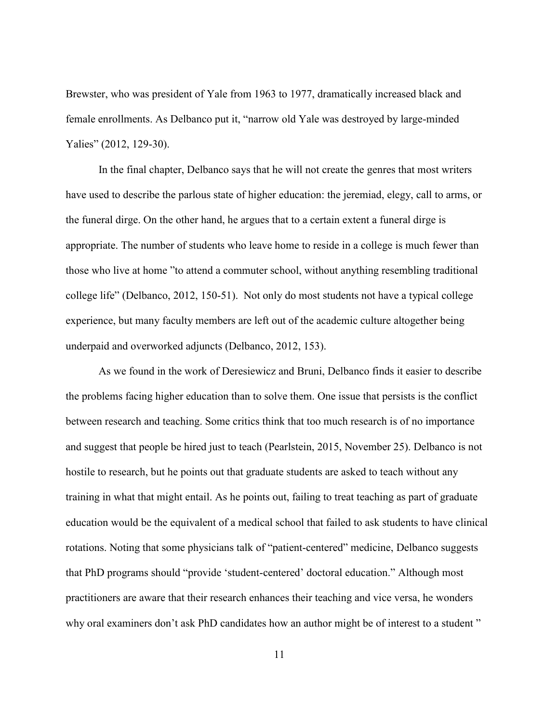Brewster, who was president of Yale from 1963 to 1977, dramatically increased black and female enrollments. As Delbanco put it, "narrow old Yale was destroyed by large-minded Yalies" (2012, 129-30).

In the final chapter, Delbanco says that he will not create the genres that most writers have used to describe the parlous state of higher education: the jeremiad, elegy, call to arms, or the funeral dirge. On the other hand, he argues that to a certain extent a funeral dirge is appropriate. The number of students who leave home to reside in a college is much fewer than those who live at home "to attend a commuter school, without anything resembling traditional college life" (Delbanco, 2012, 150-51). Not only do most students not have a typical college experience, but many faculty members are left out of the academic culture altogether being underpaid and overworked adjuncts (Delbanco, 2012, 153).

As we found in the work of Deresiewicz and Bruni, Delbanco finds it easier to describe the problems facing higher education than to solve them. One issue that persists is the conflict between research and teaching. Some critics think that too much research is of no importance and suggest that people be hired just to teach (Pearlstein, 2015, November 25). Delbanco is not hostile to research, but he points out that graduate students are asked to teach without any training in what that might entail. As he points out, failing to treat teaching as part of graduate education would be the equivalent of a medical school that failed to ask students to have clinical rotations. Noting that some physicians talk of "patient-centered" medicine, Delbanco suggests that PhD programs should "provide 'student-centered' doctoral education." Although most practitioners are aware that their research enhances their teaching and vice versa, he wonders why oral examiners don't ask PhD candidates how an author might be of interest to a student"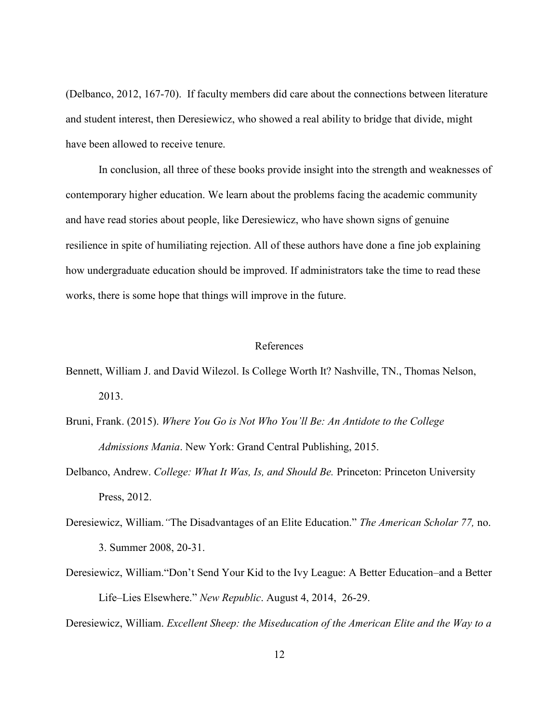(Delbanco, 2012, 167-70). If faculty members did care about the connections between literature and student interest, then Deresiewicz, who showed a real ability to bridge that divide, might have been allowed to receive tenure.

In conclusion, all three of these books provide insight into the strength and weaknesses of contemporary higher education. We learn about the problems facing the academic community and have read stories about people, like Deresiewicz, who have shown signs of genuine resilience in spite of humiliating rejection. All of these authors have done a fine job explaining how undergraduate education should be improved. If administrators take the time to read these works, there is some hope that things will improve in the future.

## References

- Bennett, William J. and David Wilezol. Is College Worth It? Nashville, TN., Thomas Nelson, 2013.
- Bruni, Frank. (2015). *Where You Go is Not Who You'll Be: An Antidote to the College Admissions Mania*. New York: Grand Central Publishing, 2015.
- Delbanco, Andrew. *College: What It Was, Is, and Should Be.* Princeton: Princeton University Press, 2012.
- Deresiewicz, William.*"*The Disadvantages of an Elite Education." *The American Scholar 77,* no. 3. Summer 2008, 20-31.
- Deresiewicz, William."Don't Send Your Kid to the Ivy League: A Better Education–and a Better Life–Lies Elsewhere." *New Republic*. August 4, 2014, 26-29.

Deresiewicz, William. *Excellent Sheep: the Miseducation of the American Elite and the Way to a*